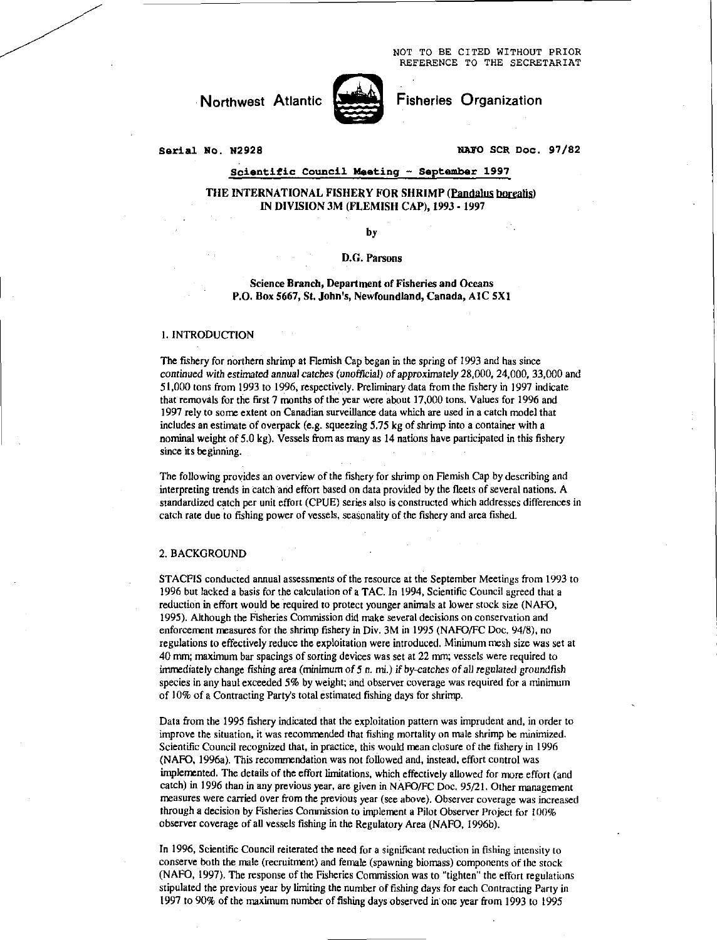NOT TO BE CITED WITHOUT PRIOR REFERENCE TO THE SECRETARIAT

# Northwest Atlantic **North Fisheries Organization**



### **Serial No.** N2928 NAPO **SCR Doc. 97/82**

### **Scientific Council Meeting — September 1997**

### THE INTERNATIONAL FISHERY FOR SHRIMP (Pandalus borealis) IN DIVISION 3M (FLEMISH CAP), 1993 - 1997

by

### D.G. Parsons

Science Branch, Department of Fisheries and Oceans P.O. Box 5667, St. John's, Newfoundland, Canada, A1C 5X1

### 1.INTRODUCTION

The fishery for northern shrimp at Flemish Cap began in the spring of 1993 and has since *continued with estimated annual catches (unofficial) of approximately 28,000, 24,000, 33,000 and* 51,000 tons from 1993 to 1996, respectively. Preliminary data from the fishery in 1997 indicate that removals for the first 7 months of the year were about 17,000 tons. Values for 1996 and 1997 rely to some extent on Canadian surveillance data which are used in a catch model that includes an estimate of overpack (e.g. squeezing 5.75 kg of shrimp into a container with a nominal weight of 5.0 kg). Vessels from as many as 14 nations have participated in this fishery since its beginning.

The following provides an overview of the fishery for shrimp on Flemish Cap by describing and interpreting trends in catch and effort based on data provided by the fleets of several nations. A standardized catch per unit effort (CPUE) series also is constructed which addresses differences in catch rate due to fishing power of vessels, seasonality of the fishery and area fished.

### 2. BACKGROUND

STACFIS conducted annual assessments of the resource at the September Meetings from 1993 to 1996 but lacked a basis for the calculation of a TAC. In 1994, Scientific Council agreed that a reduction in effort would be required to protect younger animals at lower stock size (NAFO, 1995). Although the Fisheries Commission did make several decisions on conservation and enforcement measures for the shrimp fishery in Div. 3M in 1995 (NAFO/FC Doc. 94/8), no regulations to effectively reduce the exploitation were introduced. Minimum mesh size was set at 40 mm; maximum bar spacings of sorting devices was set at 22 mm; vessels were required to immediately change fishing area (minimum of 5 n. mi.) *if by-catches of* all *regulated groundfish*  species in any haul exceeded 5% by weight; and observer coverage was required for a minimum of 10% of a Contracting Party's total estimated fishing days for shrimp.

Data from the 1995 fishery indicated that the exploitation pattern was imprudent and, in order to improve the situation, it was recommended that fishing mortality on male shrimp be minimized. Scientific Council recognized that, in practice, this would mean closure of the fishery in 1996 (NAFO, 1996a). This recommendation was not followed and, instead, effort control was implemented. The details of the effort limitations, which effectively allowed for more effort (and catch) in 1996 than in any previous year, are given in NAFO/FC Doc. 95/21. Other management measures were carried over from the previous year (see above). Observer coverage was increased through a decision by Fisheries Commission to implement a Pilot Observer Project for 100% observer coverage of all vessels fishing in the Regulatory Area (NAFO, 1996b).

In 1996, Scientific Council reiterated the need for a significant reduction in fishing intensity to conserve both the male (recruitment) and female (spawning biomass) components of the stock (NAFO, 1997). The response of the Fisheries Commission was to "tighten" the effort regulations stipulated the previous year by limiting the number of fishing days for each Contracting Party in 1997 to 90% of the maximum number of fishing days observed in one year from 1993 to 1995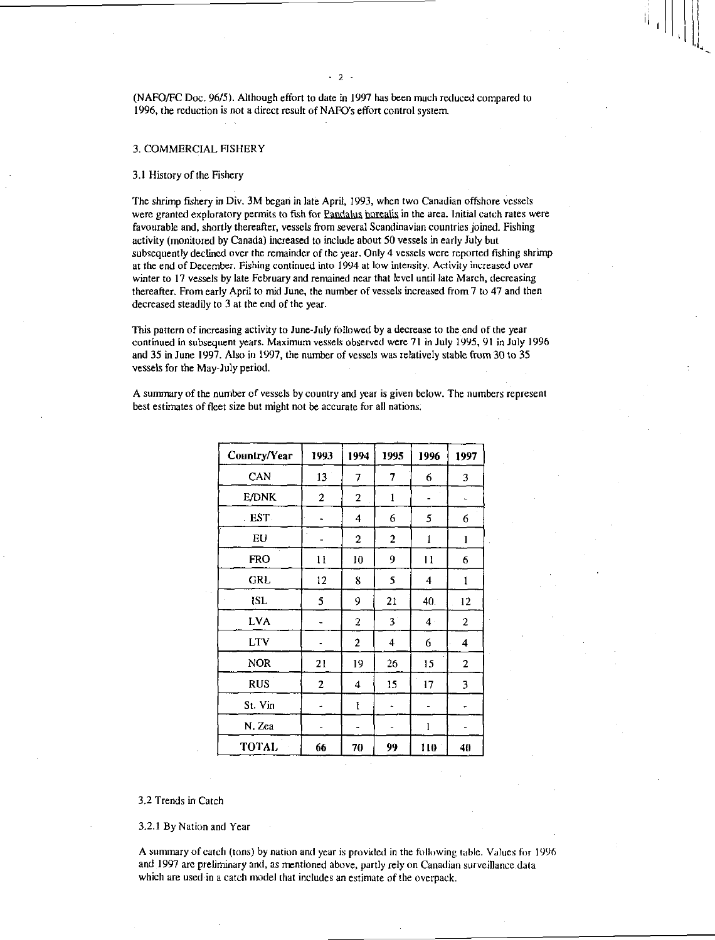(NAFO/FC Doc. 96/5). Although effort to date in 1997 has been much reduced compared to 1996, the reduction is not a direct result of NAFO's effort control system.

 $2 -$ 

### 3. COMMERCIAL FISHERY

### 3.1 History of the Fishery

The shrimp fishery in Div. 3M began in late April, 1993, when two Canadian offshore vessels were granted exploratory permits to fish for Pandalus borealis in the area. Initial catch rates were favourable and, shortly thereafter, vessels from several Scandinavian countries joined. Fishing activity (monitored by Canada) increased to include about 50 vessels in early July but subsequently declined over the remainder of the year. Only 4 vessels were reported fishing shrimp at the end of December. Fishing continued into 1994 at low intensity. Activity increased over winter to 17 vessels by late February and remained near that level until late March, decreasing thereafter. From early April to mid June, the number of vessels increased from 7 to 47 and then decreased steadily to 3 at the end of the year.

This pattern of increasing activity to June-July followed by a decrease to the end of the year continued in subsequent years. Maximum vessels observed were 71 in July 1995, 91 in July 1996 and 35 in June 1997. Also in 1997, the number of vessels was relatively stable from 30 to 35 vessels for the May-July period.

A summary of the number of vessels by country and year is given below. The numbers represent best estimates of fleet size but might not be accurate for all nations.

| Country/Year | 1993          | 1994                    | 1995                    | 1996           | 1997                    |
|--------------|---------------|-------------------------|-------------------------|----------------|-------------------------|
| CAN          | 13            | 7                       | 7                       | 6              | 3                       |
| E/DNK        | 2             | 2                       | 1                       |                |                         |
| EST.         |               | $\overline{\mathbf{4}}$ | 6                       | 5              | 6                       |
| EU           |               | $\overline{2}$          | $\overline{2}$          | 1              | $\mathbf{1}$            |
| <b>FRO</b>   | $\mathbf{11}$ | 10                      | 9                       | $\mathbf{11}$  | 6                       |
| GRL          | 12            | 8                       | 5                       | 4              | 1                       |
| ISL          | 5             | 9                       | 21                      | 40.            | 12                      |
| <b>LVA</b>   |               | $\overline{c}$          | $3^{\circ}$             | 4 <sup>1</sup> | 2                       |
| <b>LTV</b>   |               | $\overline{2}$          | $\overline{\mathbf{4}}$ | 6              | $\overline{\mathbf{4}}$ |
| <b>NOR</b>   | 21            | 19                      | 26                      | 15             | $\mathbf{c}$            |
| <b>RUS</b>   | $\mathbf{2}$  | 4                       | 15                      | 17             | 3                       |
| St. Vin      |               | $\mathbf{l}$            |                         |                | $\ddot{\phantom{0}}$    |
| N. Zea       |               | ۰                       |                         | l              |                         |
| <b>TOTAL</b> | 66            | 70                      | 99                      | 110            | 40                      |

3.2 Trends in Catch

3.2.1 By Nation and Year

A summary of catch (tons) by nation and year is provided in the following table. Values for 1996 and 1997 are preliminary and, as mentioned above, partly rely on Canadian surveillance.data which are used in a catch model that includes an estimate of the overpack.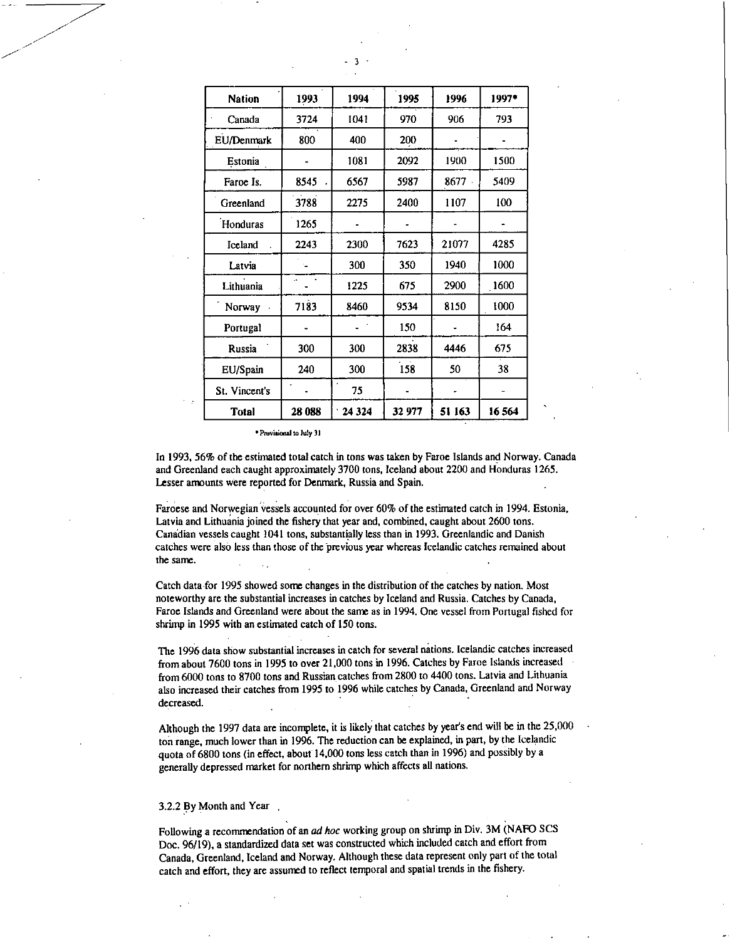| <b>Nation</b> | 1993   | 1994    | 1995   | 1996   | 1997* |
|---------------|--------|---------|--------|--------|-------|
| Canada        | 3724   | 1041    | 970    | 906    | 793   |
| EU/Denmark    | 800    | 400     | 200    |        |       |
| Estonia       |        | 1081    | 2092   | 1900   | 1500  |
| Faroe Is.     | 8545   | 6567    | 5987   | 8677   | 5409  |
| Greenland     | 3788   | 2275    | 2400   | 1107   | 100   |
| Honduras      | 1265   |         |        |        |       |
| Iceland       | 2243   | 2300    | 7623   | 21077  | 4285  |
| Latvia        |        | 300     | 350    | 1940   | 1000  |
| Lithuania     | ä,     | 1225    | 675    | 2900   | 1600  |
| Norway        | 7183   | 8460    | 9534   | 8150   | 1000  |
| Portugal      |        |         | 150    |        | 164   |
| Russia        | 300    | 300     | 2838   | 4446   | 675   |
| EU/Spain      | 240    | 300     | 158    | 50     | 38    |
| St. Vincent's |        | 75      |        |        |       |
| <b>Total</b>  | 28 088 | 24 3 24 | 32 977 | 51 163 | 16564 |

• Provisiccal to July 31

In 1993, 56% of the estimated total catch in tons was taken by Faroe Islands and Norway. Canada and Greenland each caught approximately 3700 tons, Iceland about 2200 and Honduras 1265. Lesser amounts were reported for Denmark, Russia and Spain.

Faroese and Norwegian vessels accounted for over 60% of the estimated catch in 1994. Estonia, Latvia and Lithuania joined the fishery that year and, combined, caught about 2600 tons. Canadian vessels caught 1041 tons, substantially less than in 1993. Greenlandic and Danish catches were also less than those of the previous year whereas Icelandic catches remained about the same.

Catch data for 1995 showed some changes in the distribution of the catches by nation. Most noteworthy are the substantial increases in catches by Iceland and Russia. Catches by Canada, Faroe Islands and Greenland were about the same as in 1994. One vessel from Portugal fished for shrimp in 1995 with an estimated catch of 150 tons.

The 1996 data show substantial increases in catch for several nations. Icelandic catches increased from about 7600 tons in 1995 to over 21,000 tons in 1996. Catches by Faroe Islands increased from 6000 tons to 8700 tons and Russian catches from 2800 to 4400 tons. Latvia and Lithuania also increased their catches from 1995 to 1996 while catches by Canada, Greenland and Norway decreased.

Although the 1997 data are incomplete, it is likely that catches by year's end will be in the 25,000 ton range, much lower than in 1996. The reduction can be explained, in part, by the Icelandic quota of 6800 tons (in effect, about 14,000 tons less catch than in 1996) and possibly by a generally depressed market for northern shrimp which affects all nations.

### 3.2.2 By Month and Year ,

Following a recommendation of an *ad hoc* working group on shrimp in Div. 3M (NAFO SCS Doc. 96/19), a standardized data set was constructed which included catch and effort from Canada, Greenland, Iceland and Norway. Although these data represent only part of the total catch and effort, they are assumed to reflect temporal and spatial trends in the fishery.

3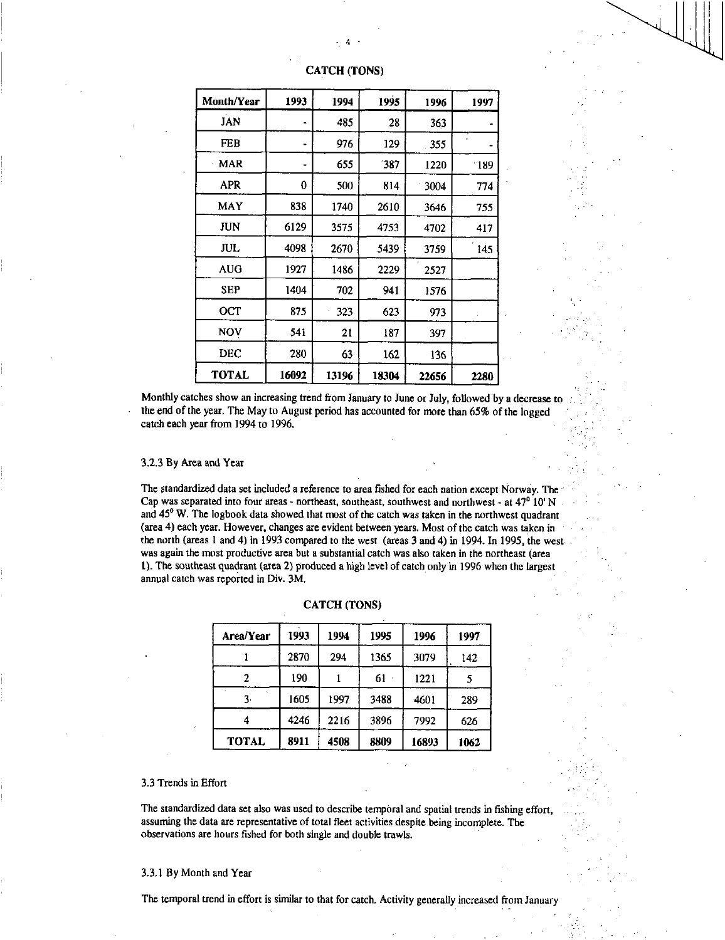| <b>Month/Year</b> | 1993  | 1994  | 1995  | 1996  | 1997 |
|-------------------|-------|-------|-------|-------|------|
| JAN               |       | 485   | 28    | 363   |      |
| FEB               |       | 976   | 129   | 355   |      |
| MAR               |       | 655   | 387   | 1220  | -189 |
| APR               | 0     | 500   | 814   | 3004  | 774  |
| MAY               | 838   | 1740  | 2610  | 3646  | 755  |
| JUN               | 6129  | 3575  | 4753  | 4702  | 417  |
| JUL.              | 4098  | 2670  | 5439  | 3759  | 145  |
| AUG               | 1927  | 1486  | 2229  | 2527  |      |
| <b>SEP</b>        | 1404  | 702   | 941   | 1576  |      |
| OСТ               | 875   | 323   | 623   | 973   |      |
| NOV               | 541   | 21    | 187   | 397   |      |
| <b>DEC</b>        | 280   | 63    | 162   | 136   |      |
| <b>TOTAL</b>      | 16092 | 13196 | 18304 | 22656 | 2280 |

## **CATCH (TONS)**

Monthly catches show an increasing trend from January to June or July, followed by a decrease to the end of the year. The May to August period has accounted for more than 65% of the logged catch each year from 1994 to 1996.

### 3.2.3 By Area and Year

The standardized data set included a reference to area fished for each nation except Norway. The Cap was separated into four areas - northeast, southeast, southwest and northwest - at 47<sup>0</sup> 10' N and 45<sup>°</sup> W. The logbook data showed that most of the catch was taken in the northwest quadrant (area 4) each year. However, changes are evident between years. Most of the catch was taken in the north (areas 1 and 4) in 1993 compared to the west (areas 3 and 4) in 1994. In 1995, the west was again the most productive area but a substantial catch was also taken in the northeast (area 1). The southeast quadrant (area 2) produced a high level of catch only in 1996 when the largest annual catch was reported in Div. 3M.

| Area/Year    | 1993 | 1994 | 1995 | 1996  | 1997 |
|--------------|------|------|------|-------|------|
|              | 2870 | 294  | 1365 | 3079  | 142  |
|              | 190  |      | 61   | 1221  |      |
| 3.           | 1605 | 1997 | 3488 | 4601  | 289  |
| 4            | 4246 | 2216 | 3896 | 7992  | 626  |
| <b>TOTAL</b> | 8911 | 4508 | 8809 | 16893 | 1062 |

### **CATCH (TONS)**

### 3.3 Trends in Effort

The standardized data set also was used to describe temporal and spatial trends in fishing effort, assuming the data are representative of total fleet activities despite being incomplete. The observations are hours fished for both single and double trawls.

### 3.3.1 By Month and Year

**The temporal trend in effort is similar to that for catch.** Activity generally increased from January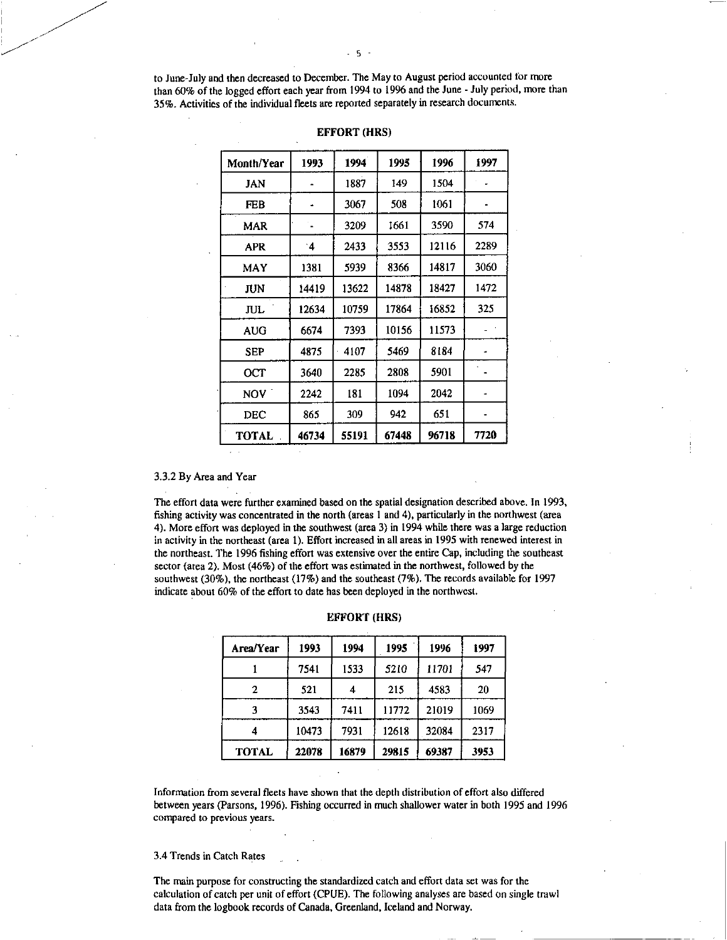to June-July and then decreased to December. The May to August period accounted for more than 60% of the logged effort each year from 1994 to 1996 and the June - July period, more than 35%. Activities of the individual fleets are reported separately in research documents.

| <b>Month/Year</b> | 1993      | 1994  | 1995  | 1996  | 1997 |
|-------------------|-----------|-------|-------|-------|------|
| JAN               |           | 1887  | 149   | 1504  |      |
| FEB               |           | 3067  | 508   | 1061  |      |
| MAR               |           | 3209  | 1661  | 3590  | 574  |
| APR               | $\cdot$ 4 | 2433  | 3553  | 12116 | 2289 |
| MAY               | 1381      | 5939  | 8366  | 14817 | 3060 |
| JUN               | 14419     | 13622 | 14878 | 18427 | 1472 |
| <b>JUL</b>        | 12634     | 10759 | 17864 | 16852 | 325  |
| <b>AUG</b>        | 6674      | 7393  | 10156 | 11573 |      |
| <b>SEP</b>        | 4875      | 4107  | 5469  | 8184  |      |
| OCT               | 3640      | 2285  | 2808  | 5901  |      |
| NOV `             | 2242      | 181   | 1094  | 2042  |      |
| DEC               | 865       | 309   | 942   | 651   |      |
| <b>TOTAL</b>      | 46734     | 55191 | 67448 | 96718 | 7720 |

### **EFFORT (HRS)**

3.3.2 By Area and Year

The effort data were further examined based on the spatial designation described above. In 1993, fishing activity was concentrated in the north (areas 1 and 4), particularly in the northwest (area 4). More effort was deployed in the southwest (area 3) in 1994 while there was a large reduction in activity in the northeast (area 1). Effort increased in all areas in 1995 with renewed interest in the northeast. The 1996 fishing effort was extensive over the entire Cap, including the southeast sector (area 2). Most (46%) of the effort was estimated in the northwest, followed by the southwest (30%), the northeast (17%) and the southeast (7%). The records available for 1997 indicate about 60% of the effort to date has been deployed in the northwest.

| Area/Year    | 1993  | 1994  | 1995  | 1996  | 1997 |
|--------------|-------|-------|-------|-------|------|
|              | 7541  | 1533  | 5210  | 11701 | 547  |
| 2            | 521   | 4     | 215   | 4583  | 20   |
|              | 3543  | 7411  | 11772 | 21019 | 1069 |
| 4            | 10473 | 7931  | 12618 | 32084 | 2317 |
| <b>TOTAL</b> | 22078 | 16879 | 29815 | 69387 | 3953 |

| <b>EFFORT (HRS)</b> |  |  |  |  |
|---------------------|--|--|--|--|
|---------------------|--|--|--|--|

Information from several fleets have shown that the depth distribution of effort also differed between years (Parsons, 1996). Fishing occurred in much shallower water in both 1995 and 1996 compared to previous years.

3.4 Trends in Catch Rates

The main purpose for constructing the standardized catch and effort data set was for the calculation of catch per unit of effort (CPUE). The following analyses are based on single trawl data from the logbook records of Canada, Greenland, Iceland and Norway.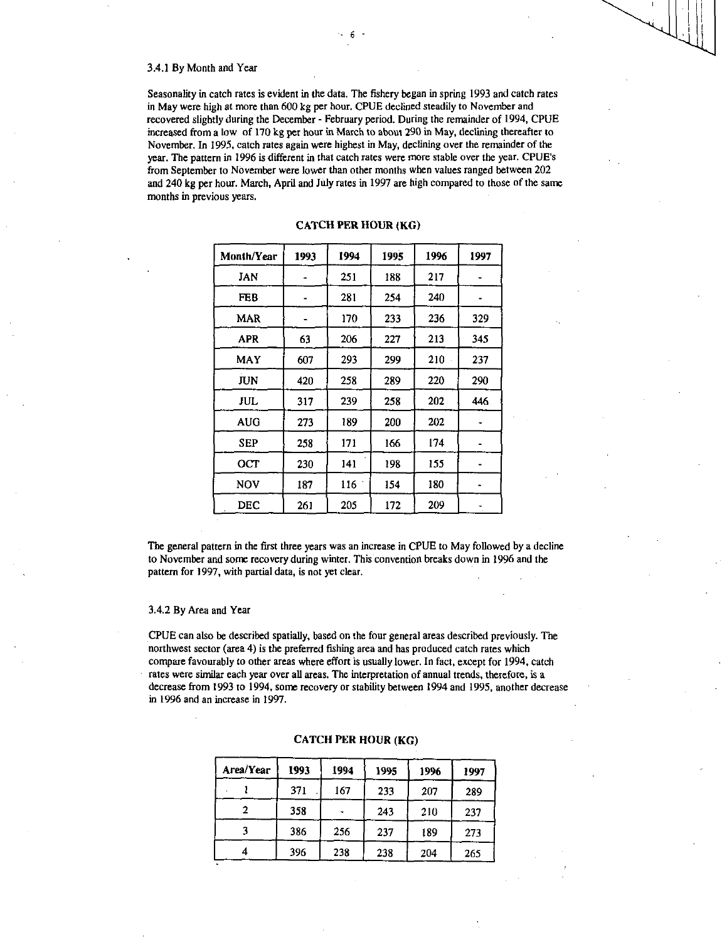### 3.4.1 By Month and Year

Seasonality in catch rates is evident in the data. The fishery began in spring 1993 and catch rates in May were high at more than 600 kg per hour. CPUE declined steadily to November and recovered slightly during the December - February period. During the remainder of 1994, CPUE increased from a low of 170 kg per hour in March to about 290 in May, declining thereafter to November. In 1995, catch rates again were highest in May, declining over the remainder of the year. The pattern in 1996 is different in that catch rates were more stable over the year. CPUE's from September to November were lower than other months when values ranged between 202 and 240 kg per hour. March, April and July rates in 1997 are high compared to those of the same months in previous years.

| Month/Year | 1993 | 1994 | 1995 | 1996 | 1997 |
|------------|------|------|------|------|------|
| JAN        |      | 251  | 188  | 217  |      |
| <b>FEB</b> |      | 281  | 254  | 240  |      |
| MAR        |      | 170  | 233  | 236  | 329  |
| <b>APR</b> | 63   | 206  | 227  | 213  | 345  |
| MAY        | 607  | 293  | 299  | 210  | 237  |
| <b>JUN</b> | 420  | 258  | 289  | 220  | 290  |
| <b>JUL</b> | 317  | 239  | 258  | 202  | 446  |
| AUG        | 273  | 189  | 200  | 202  |      |
| SEP        | 258  | 171  | 166  | 174  |      |
| OCT        | 230  | 141  | 198  | 155  |      |
| <b>NOV</b> | 187  | 116  | 154  | 180  |      |
| DEC        | 261  | 205  | 172  | 209  |      |

# CATCH PER HOUR (KG)

The general pattern in the first three years was an increase in CPUE to May followed by a decline to November and some recovery during winter. This convention breaks down in 1996 and the pattern for 1997, with partial data, is not yet clear.

### 3.4.2 By Area and Year

CPUE can also be described spatially, based on the four general areas described previously. The northwest sector (area 4) is the preferred fishing area and has produced catch rates which compare favourably to other areas where effort is usually lower. In fact, except for 1994, catch rates were similar each year over all areas. The interpretation of annual trends, therefore, is a decrease from 1993 to 1994, some recovery or stability between 1994 and 1995, another decrease in 1996 and an increase in 1997.

| Area/Year | 1993 | 1994 | 1995 | 1996 | 1997 |
|-----------|------|------|------|------|------|
|           | 371  | 167  | 233  | 207  | 289  |
|           | 358  |      | 243  | 210  | 237  |
|           | 386  | 256  | 237  | 189  | 273  |
|           | 396  | 238  | 238  | 204  | 265  |

### CATCH PER HOUR (KG)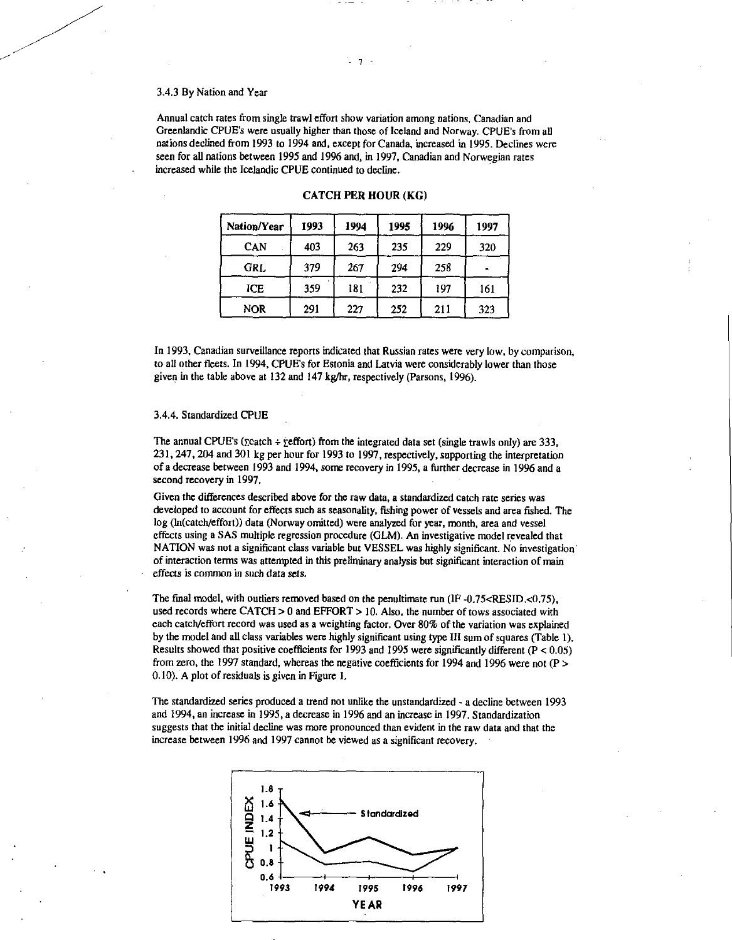### 3.4.3 By Nation and Year

Annual catch rates from single trawl effort show variation among nations. Canadian and Greenlandic CPUE's were usually higher than those of Iceland and Norway. CPUE's from all nations declined from 1993 to 1994 and, except for Canada, increased in 1995. Declines were seen for all nations between 1995 and 1996 and, in 1997, Canadian and Norwegian rates increased while the Icelandic CPUE continued to decline.

| Nation/Year | 1993 | 1994 | 1995 | 1996 | 1997 |
|-------------|------|------|------|------|------|
| CAN         | 403  | 263  | 235  | 229  | 320  |
| GRL         | 379  | 267  | 294  | 258  |      |
| ICE         | 359  | 181  | 232  | 197  | 161  |
| <b>NOR</b>  | 291  | 227  | 252  | 211  | 323  |

### **CATCH PER HOUR (KG)**

In 1993, Canadian surveillance reports indicated that Russian rates were very low, by comparison, to all other fleets. In 1994, CPUE's for Estonia and Latvia were considerably lower than those given in the table above at 132 and 147 kg/hr, respectively (Parsons, 1996).

## 3.4.4. Standardized CPUE

The annual CPUE's ( $\text{featch} + \text{feffort}$ ) from the integrated data set (single trawls only) are 333, 231, 247, 204 and 301 kg per hour for 1993 to 1997, respectively, supporting the interpretation of a decrease between 1993 and 1994, some recovery in 1995, a further decrease in 1996 and a second recovery in 1997.

Given the differences described above for the raw data, a standardized catch rate series was developed to account for effects such as seasonality, fishing power of vessels and area fished. The log (In(catch/effort)) data (Norway omitted) were analyzed for year, month, area and vessel effects using a SAS multiple regression procedure (GLM). An investigative model revealed that NATION was not a significant class variable but VESSEL was highly significant. No investigation of interaction terms was attempted in this preliminary analysis but significant interaction of main effects is common in *such* data sets.

The final model, with outliers removed based on the penultimate run  $(\text{IF } -0.75 < \text{RESID} < 0.75)$ , used records where CATCH > 0 and EFFORT > 10. Also, the number of tows associated with each catch/effort record was used as a weighting factor. Over 80% of the variation was explained by the model and all class variables were highly significant using type III sum of squares (Table 1). Results showed that positive coefficients for 1993 and 1995 were significantly different (P < 0.05) from zero, the 1997 standard, whereas the negative coefficients for 1994 and 1996 were not (P > 0.10). A plot of residuals is given in Figure 1.

The standardized series produced a trend not unlike the unstandardized - a decline between 1993 and 1994, an increase in 1995, a decrease in 1996 and an increase in 1997. Standardization suggests that the initial decline was more pronounced than evident in the raw data and that the increase between 1996 and 1997 cannot be viewed as a significant recovery.

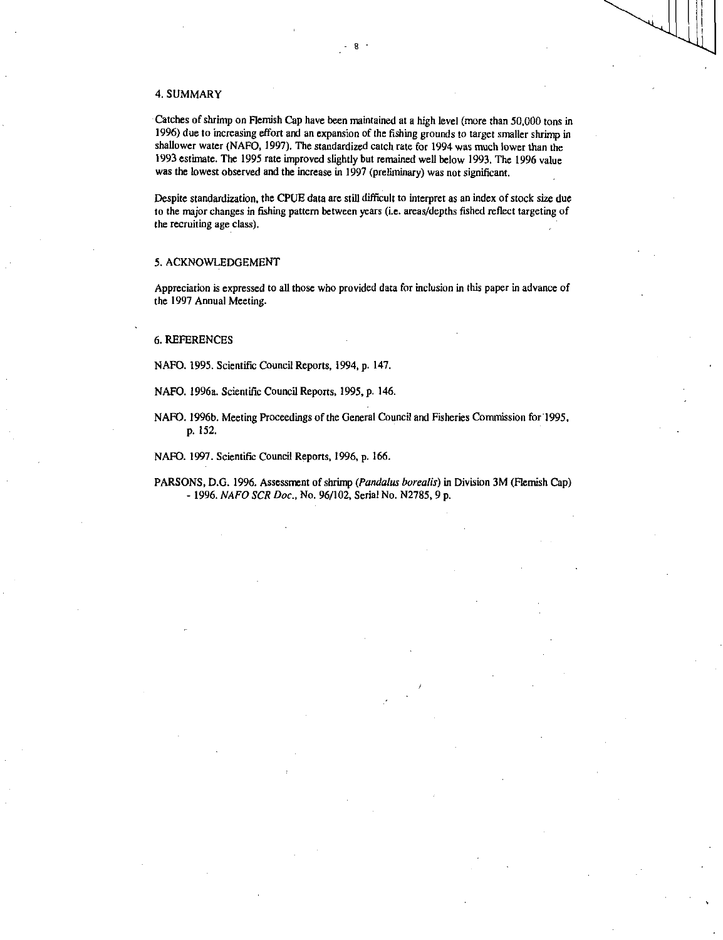### 4. SUMMARY

Catches of shrimp on Flemish Cap have been maintained at a high level (more than 50,000 tons in 1996) due to increasing effort and an expansion of the fishing grounds to target smaller shrimp in shallower water (NAFO, 1997). The standardized catch rate for 1994 was much lower than the 1993 estimate. The 1995 rate improved slightly but remained well below 1993. The 1996 value was the lowest observed and the increase in 1997 (preliminary) was not significant.

Despite standardization, the CPUE data are still difficult to interpret as an index of stock size due to the major changes in fishing pattern between years (i.e. areas/depths fished reflect targeting of the recruiting age class).

### 5. ACKNOWLEDGEMENT

Appreciation is expressed to all those who provided data for inclusion in this paper in advance of the 1997 Annual Meeting.

### 6. REFERENCES

NAFO. 1995. Scientific Council Reports, 1994, p. 147.

NAFO. 1996a. Scientific Council Reports, 1995, p. 146.

NAFO. 1996b. Meeting Proceedings of the General Council and Fisheries Commission for 1995, p. 152.

NAFO. 1997. Scientific Council Reports, 1996, p. 166.

PARSONS, D.G. 1996. Assessment of shrimp *(Pandalus borealis)* in Division 3M (Flemish Cap) - 1996. *NAFO SCR Doc.,* No. 96/102, Serial No. N2785, 9 p.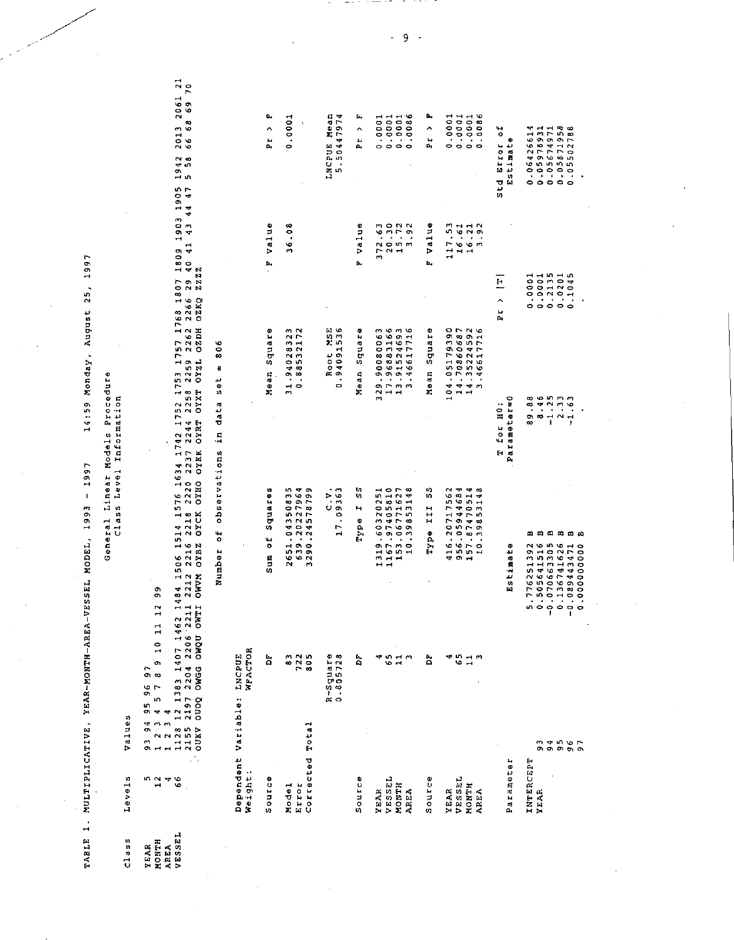14:59 Monday, August 25, 1997 TABLE 1. MULTIPLICATIVE, YEAR-MONTH-AREA-VESSEL MODEL, 1993 - 1997

# General Linear Models Procedure<br>Class Level Information

Values Levels  $c1$  ass

Number of observations in data set = 806

| Dependent Variabie: INCPUB<br>Weight: | WFACTOR                        |                                                |                                                          |                       |                                 |  |
|---------------------------------------|--------------------------------|------------------------------------------------|----------------------------------------------------------|-----------------------|---------------------------------|--|
| Source                                | Ĕ                              | squares<br>ŏ<br>Sun<br>S                       | square<br>Mean                                           | <b>Value</b><br>Ŀ,    | G,<br>Α<br>h.                   |  |
| Total<br>Corrected<br>Nodel<br>Icres  | 722<br>805<br>$\ddot{\bullet}$ | 2651.04350835<br>639.20227964<br>3290.24578799 | 0.88532172<br>m<br>31.9402832                            | 36.08                 | 0.0001                          |  |
|                                       | $R - S$ quare<br>0 805728      | 17.09363<br>ب<br>ن                             | Root MSE<br>0.94091536<br>o                              |                       | LNCPUE Mean<br>Þ<br>5.5044797   |  |
| Source                                | P.                             | S<br>н<br>Type                                 | Mean Square                                              | <b>F</b> value        | Ŀ,<br>$\ddot{\phantom{1}}$<br>ř |  |
| VESSEL<br><b>YEAR</b>                 | q,                             | 1319.60320251<br>1167.97405810<br>153.06771627 | 329.90080063<br>17.96883166                              | 20.30<br>m<br>372.6   | 0.0001<br>0.0001                |  |
| <b>NONTH</b>                          | 51                             |                                                | 13.91524693                                              | 5.72<br>H             | 0.0001                          |  |
| <b>AREA</b>                           |                                | 10.39853148                                    | -46617716<br>m                                           | 1.92<br>m             | 0.0086                          |  |
| <b>Source</b>                         | ã                              | S<br>III<br>Type                               | Ф<br>Mean Squar                                          | Value<br>Ĺ,           | Ŀ,<br>$\overline{ }$<br>r.      |  |
| <b>ZEAR</b>                           |                                | 416.20717562                                   |                                                          | 117.53                | 0.0001                          |  |
| VESSEL<br>MONTH                       | 55<br>급                        | 956.05944684<br>157.87470514                   | 104.05179390<br>14.70860687<br>14.35224592<br>3.46617716 | 10.61<br>16.21        | 1000.0<br>0.0001                |  |
| <b>AREA</b>                           |                                | 10.39853148                                    |                                                          | $\overline{9}$<br>m   | 0.0086                          |  |
|                                       |                                |                                                | T for HO:                                                | E<br>Pr)              | č<br>Std Error                  |  |
| Parameter                             |                                | Φ<br>Estimat                                   | Parameter=0                                              |                       | Φ<br>Estimat                    |  |
| INTERCEPT<br>YEAR                     |                                | m<br>5.776251392                               | $\ddot{3}$<br>ò,<br>∞                                    | 0.0001                | 0.06426614                      |  |
| S                                     |                                | mφ<br>0.505641516                              | $-46$<br>$\infty$                                        | $0.0001$<br>$0.2135$  | 0.05978931<br>0.05674971        |  |
|                                       |                                | $-0.070663305$                                 | $-1.25$<br>2.33                                          |                       |                                 |  |
| 456                                   |                                | m<br>0.136741626                               |                                                          | 0.0201                | 0.05871958                      |  |
| თთრთ                                  |                                | m<br>147343471                                 | $-1.63$                                                  | $\frac{5}{4}$<br>0.10 | 0.05502788                      |  |
| r,                                    |                                | m<br>0.0000000000                              |                                                          |                       |                                 |  |

L,

 $\overline{9}$  $\bar{\phantom{a}}$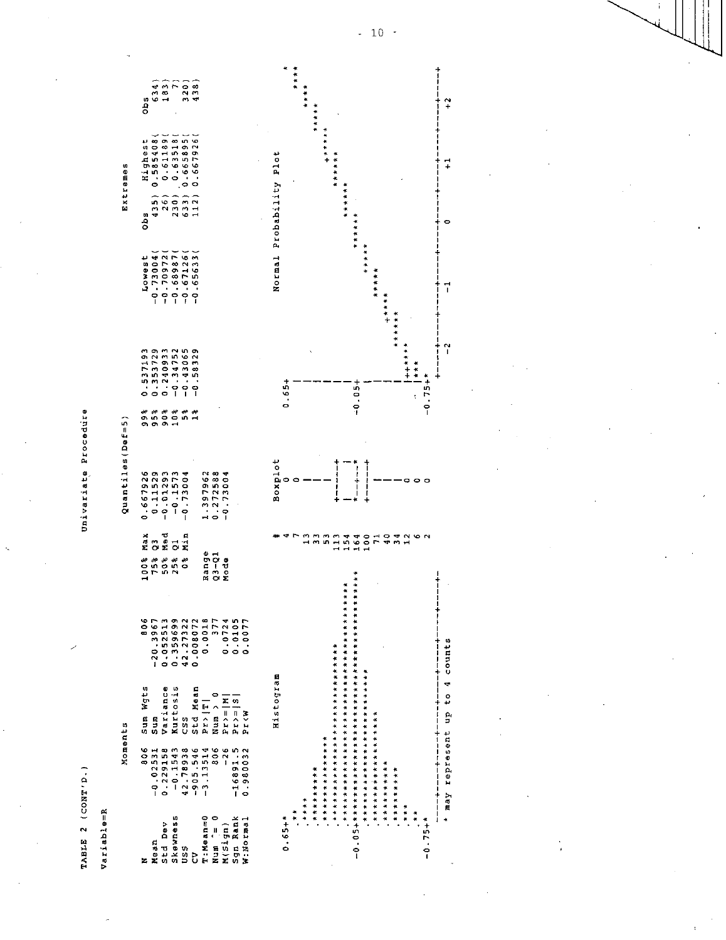Univariate Procedure

Variable=R

TABLE 2 (CONT'D.)

|                                                                                              |                        | Moments                                                                                                                          |                         | Quantiles (Def=5)                                       |                            |                                                                      | Extremes                                                                                                                                                                                                                       |     |  |
|----------------------------------------------------------------------------------------------|------------------------|----------------------------------------------------------------------------------------------------------------------------------|-------------------------|---------------------------------------------------------|----------------------------|----------------------------------------------------------------------|--------------------------------------------------------------------------------------------------------------------------------------------------------------------------------------------------------------------------------|-----|--|
|                                                                                              | 806                    |                                                                                                                                  | $X$ ax                  |                                                         |                            |                                                                      | obs                                                                                                                                                                                                                            | obs |  |
|                                                                                              |                        | Sum Wgts<br>Sumiance<br>Variance<br>Variance<br>Variance<br>National<br>National<br>National<br>National<br>National<br>National |                         | 0.667926<br>-0.11529<br>-0.01293<br>-0.1573<br>-0.73004 | # # # # #<br>ወሰወወሰብ<br>ወወጣ | 0.537193<br>0.353729<br>0.240933<br>0.243055<br>0.938329<br>-0.58329 | bss () 35 () 35 () 35 () 35 () 35 () 36 () 36 () 36 () 37 () 38 () 38 () 38 () 38 () 38 () 38 () 38 () 38 () 38 () 38 () 38 () 38 () 38 () 38 () 38 () 38 () 38 () 38 () 38 () 38 () 38 () 38 () 38 () 38 () 38 () 38 () 38 () |     |  |
| Mean<br>Std Dev<br>Skewness<br>Skean=0<br>CV Sanap<br>Timean=0<br>Nigh Rank<br>Sgn Righ Rana |                        |                                                                                                                                  | a<br>O X O X<br>O X O X |                                                         |                            |                                                                      |                                                                                                                                                                                                                                |     |  |
|                                                                                              |                        |                                                                                                                                  |                         |                                                         |                            |                                                                      |                                                                                                                                                                                                                                |     |  |
|                                                                                              |                        |                                                                                                                                  |                         |                                                         |                            |                                                                      |                                                                                                                                                                                                                                |     |  |
|                                                                                              |                        |                                                                                                                                  |                         |                                                         |                            |                                                                      |                                                                                                                                                                                                                                |     |  |
|                                                                                              |                        |                                                                                                                                  |                         |                                                         |                            |                                                                      |                                                                                                                                                                                                                                |     |  |
|                                                                                              |                        |                                                                                                                                  | Range<br>Q3-Q1<br>Mode  | 1.397962<br>0.272588<br>-0.73004                        |                            |                                                                      |                                                                                                                                                                                                                                |     |  |
|                                                                                              |                        |                                                                                                                                  |                         |                                                         |                            |                                                                      |                                                                                                                                                                                                                                |     |  |
|                                                                                              | $-16891.5$<br>0.980032 |                                                                                                                                  |                         |                                                         |                            |                                                                      |                                                                                                                                                                                                                                |     |  |
|                                                                                              |                        |                                                                                                                                  |                         |                                                         |                            |                                                                      |                                                                                                                                                                                                                                |     |  |
|                                                                                              |                        |                                                                                                                                  |                         |                                                         |                            |                                                                      |                                                                                                                                                                                                                                |     |  |
|                                                                                              |                        |                                                                                                                                  |                         |                                                         |                            |                                                                      |                                                                                                                                                                                                                                |     |  |



j

 $-10 -$ 

 $+ + +$ 

\* \* \* \* \* \* \*

 $\frac{1}{2}$ 

 $\frac{1}{2}$ 

 $\overline{1}$